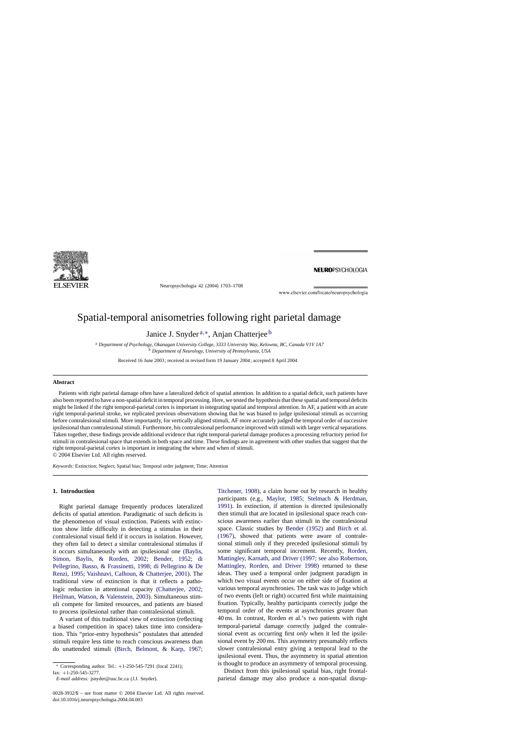

Neuropsychologia 42 (2004) 1703–1708

NEUROPSYCHOLOGIA

www.elsevier.com/locate/neuropsychologia

# Spatial-temporal anisometries following right parietal damage

Janice J. Snyder <sup>a</sup>,∗, Anjan Chatterjee <sup>b</sup>

<sup>a</sup> *Department of Psychology, Okanagan University College, 3333 University Way, Kelowna, BC, Canada V1V 1A7* <sup>b</sup> *Department of Neurology, University of Pennsylvania, USA*

Received 16 June 2003; received in revised form 19 January 2004; accepted 8 April 2004

#### **Abstract**

Patients with right parietal damage often have a lateralized deficit of spatial attention. In addition to a spatial deficit, such patients have also been reported to have a non-spatial deficit in temporal processing. Here, we tested the hypothesis that these spatial and temporal deficits might be linked if the right temporal-parietal cortex is important in integrating spatial and temporal attention. In AF, a patient with an acute right temporal-parietal stroke, we replicated previous observations showing that he was biased to judge ipsilesional stimuli as occurring before contralesional stimuli. More importantly, for vertically aligned stimuli, AF more accurately judged the temporal order of successive ipsilesional than contralesional stimuli. Furthermore, his contralesional performance improved with stimuli with larger vertical separations. Taken together, these findings provide additional evidence that right temporal-parietal damage produces a processing refractory period for stimuli in contralesional space that extends in both space and time. These findings are in agreement with other studies that suggest that the right temporal-parietal cortex is important in integrating the where and when of stimuli. © 2004 Elsevier Ltd. All rights reserved.

*Keywords:* Extinction; Neglect; Spatial bias; Temporal order judgment; Time; Attention

## **1. Introduction**

Right parietal damage frequently produces lateralized deficits of spatial attention. Paradigmatic of such deficits is the phenomenon of visual extinction. Patients with extinction show little difficulty in detecting a stimulus in their contralesional visual field if it occurs in isolation. However, they often fail to detect a similar contralesional stimulus if it occurs simultaneously with an ipsilesional one [\(Baylis,](#page-5-0) [Simon, Baylis, & Rorden, 2002; Bender,](#page-5-0) 1952; [di](#page-5-0) [Pellegrino, Basso, & Frassinetti, 1998;](#page-5-0) [di Pellegrino & De](#page-5-0) [Renzi, 1995;](#page-5-0) [Vaishnavi, Calhoun, & Chatterjee, 2001\).](#page-5-0) The traditional view of extinction is that it reflects a pathologic reduction in attentional capacity [\(Chatterjee, 2002;](#page-5-0) [Heilman, Watson, & Valenstein, 2003\).](#page-5-0) Simultaneous stimuli compete for limited resources, and patients are biased to process ipsilesional rather than contralesional stimuli.

A variant of this traditional view of extinction (reflecting a biased competition in space) takes time into consideration. This "prior-entry hypothesis" postulates that attended stimuli require less time to reach conscious awareness than do unattended stimuli [\(Birch, Belmont, & Karp, 196](#page-5-0)7;

[Titchener, 1908\),](#page-5-0) a claim borne out by research in healthy participants (e.g., [Maylor, 1985;](#page-5-0) [Stelmach & Herdman,](#page-5-0) [1991\).](#page-5-0) In extinction, if attention is directed ipsilesionally then stimuli that are located in ipsilesional space reach conscious awareness earlier than stimuli in the contralesional space. Classic studies by [Bender \(1952\)](#page-5-0) and [Birch et al.](#page-5-0) [\(1967\),](#page-5-0) showed that patients were aware of contralesional stimuli only if they preceded ipsilesional stimuli by some significant temporal increment. Recently, [Rorden,](#page-5-0) [Mattingley, Karnath, and Driver \(1997; see also Robertson,](#page-5-0) [Mattingley, Rorden, and Driver 1998](#page-5-0)) returned to these ideas. They used a temporal order judgment paradigm in which two visual events occur on either side of fixation at various temporal asynchronies. The task was to judge which of two events (left or right) occurred first while maintaining fixation. Typically, healthy participants correctly judge the temporal order of the events at asynchronies greater than 40 ms. In contrast, Rorden et al.'s two patients with right temporal-parietal damage correctly judged the contralesional event as occurring first *only* when it led the ipsilesional event by 200 ms. This asymmetry presumably reflects slower contralesional entry giving a temporal lead to the ipsilesional event. Thus, the asymmetry in spatial attention is thought to produce an asymmetry of temporal processing.

Distinct from this ipsilesional spatial bias, right frontalparietal damage may also produce a non-spatial disrup-

<sup>∗</sup> Corresponding author. Tel.: +1-250-545-7291 (local 2241);

fax: +1-250-545-3277.

*E-mail address:* jsnyder@ouc.bc.ca (J.J. Snyder).

<sup>0028-3932/\$ –</sup> see front matter © 2004 Elsevier Ltd. All rights reserved. doi:10.1016/j.neuropsychologia.2004.04.003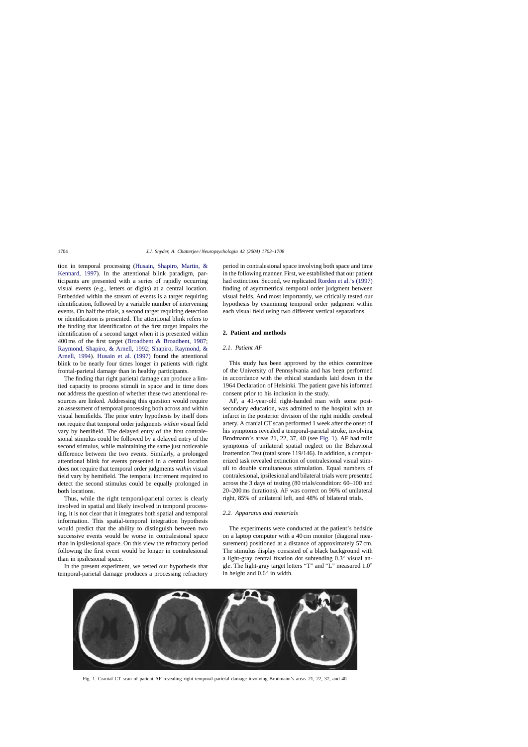tion in temporal processing ([Husain, Shapiro, Martin, &](#page-5-0) [Kennard, 1997\)](#page-5-0). In the attentional blink paradigm, participants are presented with a series of rapidly occurring visual events (e.g., letters or digits) at a central location. Embedded within the stream of events is a target requiring identification, followed by a variable number of intervening events. On half the trials, a second target requiring detection or identification is presented. The attentional blink refers to the finding that identification of the first target impairs the identification of a second target when it is presented within 400 ms of the first target [\(Broadbent & Broadbent, 1987;](#page-5-0) [Raymond, Shapiro, & Arnell, 1992;](#page-5-0) [Shapiro, Raymond, &](#page-5-0) [Arnell, 1994\)](#page-5-0). [Husain et al. \(1997\)](#page-5-0) found the attentional blink to be nearly four times longer in patients with right frontal-parietal damage than in healthy participants.

The finding that right parietal damage can produce a limited capacity to process stimuli in space and in time does not address the question of whether these two attentional resources are linked. Addressing this question would require an assessment of temporal processing both across and within visual hemifields. The prior entry hypothesis by itself does not require that temporal order judgments *within* visual field vary by hemifield. The delayed entry of the first contralesional stimulus could be followed by a delayed entry of the second stimulus, while maintaining the same just noticeable difference between the two events. Similarly, a prolonged attentional blink for events presented in a central location does not require that temporal order judgments *within* visual field vary by hemifield. The temporal increment required to detect the second stimulus could be equally prolonged in both locations.

Thus, while the right temporal-parietal cortex is clearly involved in spatial and likely involved in temporal processing, it is not clear that it integrates both spatial and temporal information. This spatial-temporal integration hypothesis would predict that the ability to distinguish between two successive events would be worse in contralesional space than in ipsilesional space. On this view the refractory period following the first event would be longer in contralesional than in ipsilesional space.

In the present experiment, we tested our hypothesis that temporal-parietal damage produces a processing refractory

period in contralesional space involving both space and time in the following manner. First, we established that our patient had extinction. Second, we replicated [Rorden et al.'s \(1997\)](#page-5-0) finding of asymmetrical temporal order judgment between visual fields. And most importantly, we critically tested our hypothesis by examining temporal order judgment within each visual field using two different vertical separations.

## **2. Patient and methods**

## *2.1. Patient AF*

This study has been approved by the ethics committee of the University of Pennsylvania and has been performed in accordance with the ethical standards laid down in the 1964 Declaration of Helsinki. The patient gave his informed consent prior to his inclusion in the study.

AF, a 41-year-old right-handed man with some postsecondary education, was admitted to the hospital with an infarct in the posterior division of the right middle cerebral artery. A cranial CT scan performed 1 week after the onset of his symptoms revealed a temporal-parietal stroke, involving Brodmann's areas 21, 22, 37, 40 (see Fig. 1). AF had mild symptoms of unilateral spatial neglect on the Behavioral Inattention Test (total score 119/146). In addition, a computerized task revealed extinction of contralesional visual stimuli to double simultaneous stimulation. Equal numbers of contralesional, ipsilesional and bilateral trials were presented across the 3 days of testing (80 trials/condition: 60–100 and 20–200 ms durations). AF was correct on 96% of unilateral right, 85% of unilateral left, and 48% of bilateral trials.

## *2.2. Apparatus and materials*

The experiments were conducted at the patient's bedside on a laptop computer with a 40 cm monitor (diagonal measurement) positioned at a distance of approximately 57 cm. The stimulus display consisted of a black background with a light-gray central fixation dot subtending 0.3◦ visual angle. The light-gray target letters "T" and "L" measured 1.0◦ in height and 0.6◦ in width.



Fig. 1. Cranial CT scan of patient AF revealing right temporal-parietal damage involving Brodmann's areas 21, 22, 37, and 40.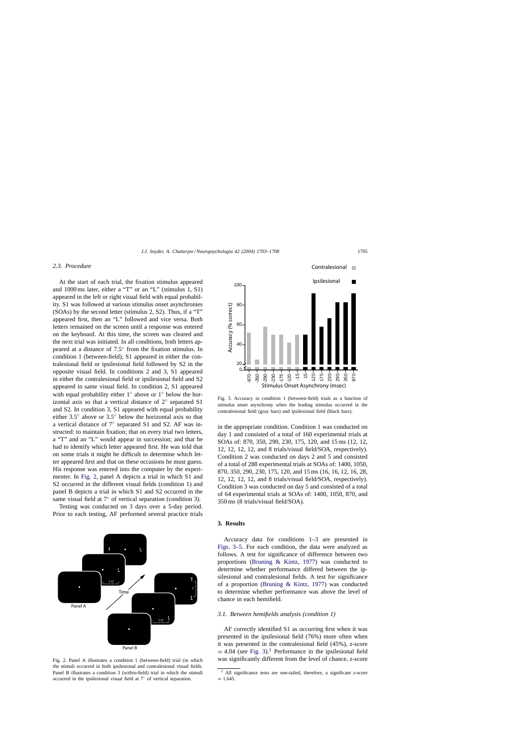## *2.3. Procedure*

At the start of each trial, the fixation stimulus appeared and 1000 ms later, either a "T" or an "L" (stimulus 1, S1) appeared in the left or right visual field with equal probability. S1 was followed at various stimulus onset asynchronies (SOAs) by the second letter (stimulus 2, S2). Thus, if a "T" appeared first, then an "L" followed and vice versa. Both letters remained on the screen until a response was entered on the keyboard. At this time, the screen was cleared and the next trial was initiated. In all conditions, both letters appeared at a distance of 7.5◦ from the fixation stimulus. In condition 1 (between-field), S1 appeared in either the contralesional field or ipsilesional field followed by S2 in the opposite visual field. In conditions 2 and 3, S1 appeared in either the contralesional field or ipsilesional field and S2 appeared in same visual field. In condition 2, S1 appeared with equal probability either 1◦ above or 1◦ below the horizontal axis so that a vertical distance of 2◦ separated S1 and S2. In condition 3, S1 appeared with equal probability either 3.5◦ above or 3.5◦ below the horizontal axis so that a vertical distance of 7◦ separated S1 and S2. AF was instructed: to maintain fixation; that on every trial two letters, a "T" and an "L" would appear in succession; and that he had to identify which letter appeared first. He was told that on some trials it might be difficult to determine which letter appeared first and that on these occasions he must guess. His response was entered into the computer by the experimenter. In Fig. 2, panel A depicts a trial in which S1 and S2 occurred in the different visual fields (condition 1) and panel B depicts a trial in which S1 and S2 occurred in the same visual field at 7◦ of vertical separation (condition 3).

Testing was conducted on 3 days over a 5-day period. Prior to each testing, AF performed several practice trials



Fig. 2. Panel A illustrates a condition 1 (between-field) trial (in which the stimuli occurred in both ipsilesional and contralesional visual fields. Panel B illustrates a condition 3 (within-field) trial in which the stimuli occurred in the ipsilesional visual field at 7◦ of vertical separation.



Fig. 3. Accuracy in condition 1 (between-field) trials as a function of stimulus onset asynchrony when the leading stimulus occurred in the contralesional field (gray bars) and ipsilesional field (black bars).

in the appropriate condition. Condition 1 was conducted on day 1 and consisted of a total of 160 experimental trials at SOAs of: 870, 350, 290, 230, 175, 120, and 15 ms (12, 12, 12, 12, 12, 12, and 8 trials/visual field/SOA, respectively). Condition 2 was conducted on days 2 and 5 and consisted of a total of 288 experimental trials at SOAs of: 1400, 1050, 870, 350, 290, 230, 175, 120, and 15 ms (16, 16, 12, 16, 28, 12, 12, 12, 12, and 8 trials/visual field/SOA, respectively). Condition 3 was conducted on day 5 and consisted of a total of 64 experimental trials at SOAs of: 1400, 1050, 870, and 350 ms (8 trials/visual field/SOA).

## **3. Results**

Accuracy data for conditions 1–3 are presented in Figs. 3–5. For each condition, the data were analyzed as follows. A test for significance of difference between two proportions ([Bruning & Kintz, 1977](#page-5-0)) was conducted to determine whether performance differed between the ipsilesional and contralesional fields. A test for significance of a proportion [\(Bruning & Kintz, 1977\)](#page-5-0) was conducted to determine whether performance was above the level of chance in each hemifield.

#### *3.1. Between hemifields analysis (condition 1)*

AF correctly identified S1 as occurring first when it was presented in the ipsilesional field (76%) more often when it was presented in the contralesional field (45%), *z*-score  $= 4.04$  (see Fig. 3).<sup>1</sup> Performance in the ipsilesional field was significantly different from the level of chance, *z*-score

<sup>1</sup> All significance tests are one-tailed, therefore, a significant *z*-score  $= 1.645.$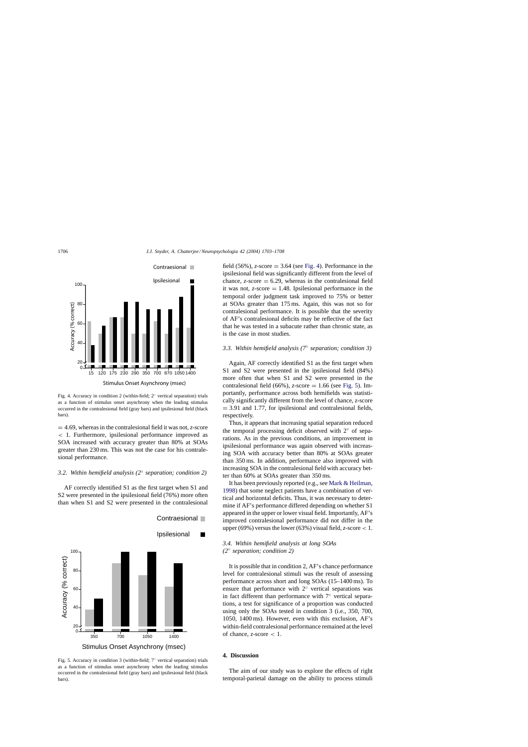

Fig. 4. Accuracy in condition 2 (within-field; 2◦ vertical separation) trials as a function of stimulus onset asynchrony when the leading stimulus occurred in the contralesional field (gray bars) and ipsilesional field (black bars).

= 4.69, whereas in the contralesional field it was not, *z*-score < 1. Furthermore, ipsilesional performance improved as SOA increased with accuracy greater than 80% at SOAs greater than 230 ms. This was not the case for his contralesional performance.

## *3.2. Within hemifield analysis (2*◦ *separation; condition 2)*

AF correctly identified S1 as the first target when S1 and S2 were presented in the ipsilesional field (76%) more often than when S1 and S2 were presented in the contralesional



Fig. 5. Accuracy in condition 3 (within-field; 7◦ vertical separation) trials as a function of stimulus onset asynchrony when the leading stimulus occurred in the contralesional field (gray bars) and ipsilesional field (black bars).

field  $(56\%)$ , *z*-score = 3.64 (see Fig. 4). Performance in the ipsilesional field was significantly different from the level of chance, *z*-score  $= 6.29$ , whereas in the contralesional field it was not,  $z$ -score  $= 1.48$ . Ipsilesional performance in the temporal order judgment task improved to 75% or better at SOAs greater than 175 ms. Again, this was not so for contralesional performance. It is possible that the severity of AF's contralesional deficits may be reflective of the fact that he was tested in a subacute rather than chronic state, as is the case in most studies.

### *3.3. Within hemifield analysis (7*◦ *separation; condition 3)*

Again, AF correctly identified S1 as the first target when S1 and S2 were presented in the ipsilesional field (84%) more often that when S1 and S2 were presented in the contralesional field  $(66\%)$ , *z*-score = 1.66 (see Fig. 5). Importantly, performance across both hemifields was statistically significantly different from the level of chance, *z*-score  $= 3.91$  and 1.77, for ipsilesional and contralesional fields, respectively.

Thus, it appears that increasing spatial separation reduced the temporal processing deficit observed with 2◦ of separations. As in the previous conditions, an improvement in ipsilesional performance was again observed with increasing SOA with accuracy better than 80% at SOAs greater than 350 ms. In addition, performance also improved with increasing SOA in the contralesional field with accuracy better than 60% at SOAs greater than 350 ms.

It has been previously reported (e.g., see [Mark & Heilman,](#page-5-0) [1998\)](#page-5-0) that some neglect patients have a combination of vertical and horizontal deficits. Thus, it was necessary to determine if AF's performance differed depending on whether S1 appeared in the upper or lower visual field. Importantly, AF's improved contralesional performance did not differ in the upper (69%) versus the lower (63%) visual field,  $z$ -score  $< 1$ .

## *3.4. Within hemifield analysis at long SOAs (2*◦ *separation; condition 2)*

It is possible that in condition 2, AF's chance performance level for contralesional stimuli was the result of assessing performance across short and long SOAs (15–1400 ms). To ensure that performance with 2◦ vertical separations was in fact different than performance with 7◦ vertical separations, a test for significance of a proportion was conducted using only the SOAs tested in condition 3 (i.e., 350, 700, 1050, 1400 ms). However, even with this exclusion, AF's within-field contralesional performance remained at the level of chance, *z*-score < 1.

#### **4. Discussion**

The aim of our study was to explore the effects of right temporal-parietal damage on the ability to process stimuli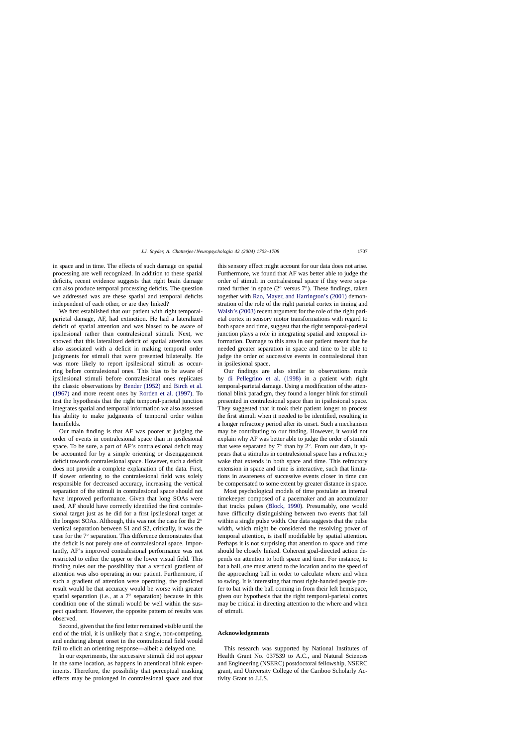in space and in time. The effects of such damage on spatial processing are well recognized. In addition to these spatial deficits, recent evidence suggests that right brain damage can also produce temporal processing deficits. The question we addressed was are these spatial and temporal deficits independent of each other, or are they linked?

We first established that our patient with right temporalparietal damage, AF, had extinction. He had a lateralized deficit of spatial attention and was biased to be aware of ipsilesional rather than contralesional stimuli. Next, we showed that this lateralized deficit of spatial attention was also associated with a deficit in making temporal order judgments for stimuli that were presented bilaterally. He was more likely to report ipsilesional stimuli as occurring before contralesional ones. This bias to be aware of ipsilesional stimuli before contralesional ones replicates the classic observations by [Bender \(1952\)](#page-5-0) and [Birch et al.](#page-5-0) [\(1967\)](#page-5-0) and more recent ones by [Rorden et al. \(1997\).](#page-5-0) To test the hypothesis that the right temporal-parietal junction integrates spatial and temporal information we also assessed his ability to make judgments of temporal order within hemifields.

Our main finding is that AF was poorer at judging the order of events in contralesional space than in ipsilesional space. To be sure, a part of AF's contralesional deficit may be accounted for by a simple orienting or disengagement deficit towards contralesional space. However, such a deficit does not provide a complete explanation of the data. First, if slower orienting to the contralesional field was solely responsible for decreased accuracy, increasing the vertical separation of the stimuli in contralesional space should not have improved performance. Given that long SOAs were used, AF should have correctly identified the first contralesional target just as he did for a first ipsilesional target at the longest SOAs. Although, this was not the case for the 2◦ vertical separation between S1 and S2, critically, it was the case for the 7◦ separation. This difference demonstrates that the deficit is not purely one of contralesional space. Importantly, AF's improved contralesional performance was not restricted to either the upper or the lower visual field. This finding rules out the possibility that a vertical gradient of attention was also operating in our patient. Furthermore, if such a gradient of attention were operating, the predicted result would be that accuracy would be worse with greater spatial separation (i.e., at a  $7^\circ$  separation) because in this condition one of the stimuli would be well within the suspect quadrant. However, the opposite pattern of results was observed.

Second, given that the first letter remained visible until the end of the trial, it is unlikely that a single, non-competing, and enduring abrupt onset in the contralesional field would fail to elicit an orienting response—albeit a delayed one.

In our experiments, the successive stimuli did not appear in the same location, as happens in attentional blink experiments. Therefore, the possibility that perceptual masking effects may be prolonged in contralesional space and that

this sensory effect might account for our data does not arise. Furthermore, we found that AF was better able to judge the order of stimuli in contralesional space if they were separated further in space ( $2^\circ$  versus  $7^\circ$ ). These findings, taken together with [Rao, Mayer, and Harrington's \(2001\)](#page-5-0) demonstration of the role of the right parietal cortex in timing and [Walsh's \(2003\)](#page-5-0) recent argument for the role of the right parietal cortex in sensory motor transformations with regard to both space and time, suggest that the right temporal-parietal junction plays a role in integrating spatial and temporal information. Damage to this area in our patient meant that he needed greater separation in space and time to be able to judge the order of successive events in contralesional than in ipsilesional space.

Our findings are also similar to observations made by [di Pellegrino et al. \(1998](#page-5-0)) in a patient with right temporal-parietal damage. Using a modification of the attentional blink paradigm, they found a longer blink for stimuli presented in contralesional space than in ipsilesional space. They suggested that it took their patient longer to process the first stimuli when it needed to be identified, resulting in a longer refractory period after its onset. Such a mechanism may be contributing to our finding. However, it would not explain why AF was better able to judge the order of stimuli that were separated by  $7^\circ$  than by  $2^\circ$ . From our data, it appears that a stimulus in contralesional space has a refractory wake that extends in both space and time. This refractory extension in space and time is interactive, such that limitations in awareness of successive events closer in time can be compensated to some extent by greater distance in space.

Most psychological models of time postulate an internal timekeeper composed of a pacemaker and an accumulator that tracks pulses [\(Block, 1990\)](#page-5-0). Presumably, one would have difficulty distinguishing between two events that fall within a single pulse width. Our data suggests that the pulse width, which might be considered the resolving power of temporal attention, is itself modifiable by spatial attention. Perhaps it is not surprising that attention to space and time should be closely linked. Coherent goal-directed action depends on attention to both space and time. For instance, to bat a ball, one must attend to the location and to the speed of the approaching ball in order to calculate where and when to swing. It is interesting that most right-handed people prefer to bat with the ball coming in from their left hemispace, given our hypothesis that the right temporal-parietal cortex may be critical in directing attention to the where and when of stimuli.

## **Acknowledgements**

This research was supported by National Institutes of Health Grant No. 037539 to A.C., and Natural Sciences and Engineering (NSERC) postdoctoral fellowship, NSERC grant, and University College of the Cariboo Scholarly Activity Grant to J.J.S.